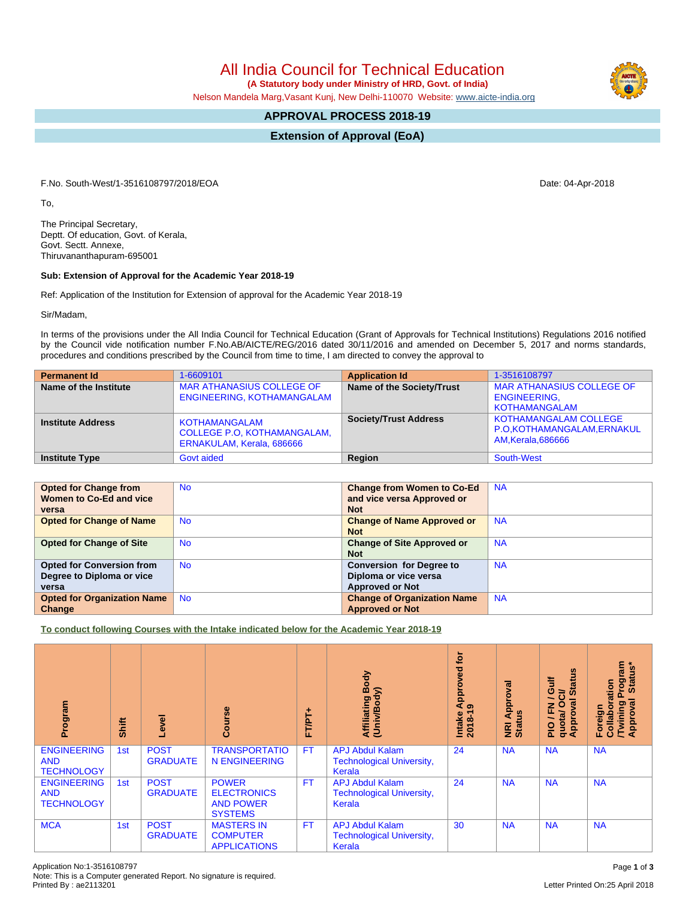Note: This is a Computer generated Report. No signature is required.

## All India Council for Technical Education

 **(A Statutory body under Ministry of HRD, Govt. of India)**

Nelson Mandela Marg,Vasant Kunj, New Delhi-110070 Website: [www.aicte-india.org](http://www.aicte-india.org)

## **APPROVAL PROCESS 2018-19**

**Extension of Approval (EoA)**

F.No. South-West/1-3516108797/2018/EOA Date: 04-Apr-2018

To,

The Principal Secretary, Deptt. Of education, Govt. of Kerala, Govt. Sectt. Annexe, Thiruvananthapuram-695001

## **Sub: Extension of Approval for the Academic Year 2018-19**

Ref: Application of the Institution for Extension of approval for the Academic Year 2018-19

Sir/Madam,

In terms of the provisions under the All India Council for Technical Education (Grant of Approvals for Technical Institutions) Regulations 2016 notified by the Council vide notification number F.No.AB/AICTE/REG/2016 dated 30/11/2016 and amended on December 5, 2017 and norms standards, procedures and conditions prescribed by the Council from time to time, I am directed to convey the approval to

| <b>Permanent Id</b>      | 1-6609101                                                                        | <b>Application Id</b>        | 1-3516108797                                                                     |
|--------------------------|----------------------------------------------------------------------------------|------------------------------|----------------------------------------------------------------------------------|
| Name of the Institute    | <b>MAR ATHANASIUS COLLEGE OF</b><br>ENGINEERING, KOTHAMANGALAM                   | Name of the Society/Trust    | <b>MAR ATHANASIUS COLLEGE OF</b><br><b>ENGINEERING.</b><br><b>KOTHAMANGALAM</b>  |
| <b>Institute Address</b> | KOTHAMANGALAM<br><b>COLLEGE P.O. KOTHAMANGALAM.</b><br>ERNAKULAM, Kerala, 686666 | <b>Society/Trust Address</b> | <b>KOTHAMANGALAM COLLEGE</b><br>P.O.KOTHAMANGALAM, ERNAKUL<br>AM, Kerala, 686666 |
| <b>Institute Type</b>    | <b>Govt aided</b>                                                                | Region                       | South-West                                                                       |

| <b>Opted for Change from</b>       | <b>No</b> | <b>Change from Women to Co-Ed</b>  | <b>NA</b> |
|------------------------------------|-----------|------------------------------------|-----------|
| Women to Co-Ed and vice            |           | and vice versa Approved or         |           |
| versa                              |           | <b>Not</b>                         |           |
| <b>Opted for Change of Name</b>    | <b>No</b> | <b>Change of Name Approved or</b>  | <b>NA</b> |
|                                    |           | <b>Not</b>                         |           |
| <b>Opted for Change of Site</b>    | <b>No</b> | <b>Change of Site Approved or</b>  | <b>NA</b> |
|                                    |           | <b>Not</b>                         |           |
| <b>Opted for Conversion from</b>   | <b>No</b> | <b>Conversion for Degree to</b>    | <b>NA</b> |
| Degree to Diploma or vice          |           | Diploma or vice versa              |           |
| versa                              |           | <b>Approved or Not</b>             |           |
| <b>Opted for Organization Name</b> | <b>No</b> | <b>Change of Organization Name</b> | <b>NA</b> |
| Change                             |           | <b>Approved or Not</b>             |           |

**To conduct following Courses with the Intake indicated below for the Academic Year 2018-19**

| Program                                               | Shift | Level                          | urse<br>ပ္ပြ                                                             | ۰<br><b>FT/PT</b> | Body<br><b>Affiliating Book</b><br>(Univ/Body)                       | tor<br>yed<br>Approv<br>ၜ<br>$2018 - 1$<br>Intake | Approval<br><b>NRI Ap<br/>Status</b> | 9<br>訔<br><b>State</b><br>ပ<br>οsι<br>∽<br>g<br>z<br>ū.<br><b>Appro</b><br>quotal<br><b>PIO</b> | Program<br>Status*<br>oration<br>ζā<br><b>Twining</b><br>Approval<br>Foreign<br>Collab |
|-------------------------------------------------------|-------|--------------------------------|--------------------------------------------------------------------------|-------------------|----------------------------------------------------------------------|---------------------------------------------------|--------------------------------------|-------------------------------------------------------------------------------------------------|----------------------------------------------------------------------------------------|
| <b>ENGINEERING</b><br><b>AND</b><br><b>TECHNOLOGY</b> | 1st   | <b>POST</b><br><b>GRADUATE</b> | <b>TRANSPORTATIO</b><br><b>N ENGINEERING</b>                             | <b>FT</b>         | <b>APJ Abdul Kalam</b><br><b>Technological University,</b><br>Kerala | 24                                                | <b>NA</b>                            | <b>NA</b>                                                                                       | <b>NA</b>                                                                              |
| <b>ENGINEERING</b><br><b>AND</b><br><b>TECHNOLOGY</b> | 1st   | <b>POST</b><br><b>GRADUATE</b> | <b>POWER</b><br><b>ELECTRONICS</b><br><b>AND POWER</b><br><b>SYSTEMS</b> | <b>FT</b>         | <b>APJ Abdul Kalam</b><br><b>Technological University,</b><br>Kerala | 24                                                | <b>NA</b>                            | <b>NA</b>                                                                                       | <b>NA</b>                                                                              |
| <b>MCA</b>                                            | 1st   | <b>POST</b><br><b>GRADUATE</b> | <b>MASTERS IN</b><br><b>COMPUTER</b><br><b>APPLICATIONS</b>              | <b>FT</b>         | <b>APJ Abdul Kalam</b><br><b>Technological University,</b><br>Kerala | 30                                                | <b>NA</b>                            | <b>NA</b>                                                                                       | <b>NA</b>                                                                              |

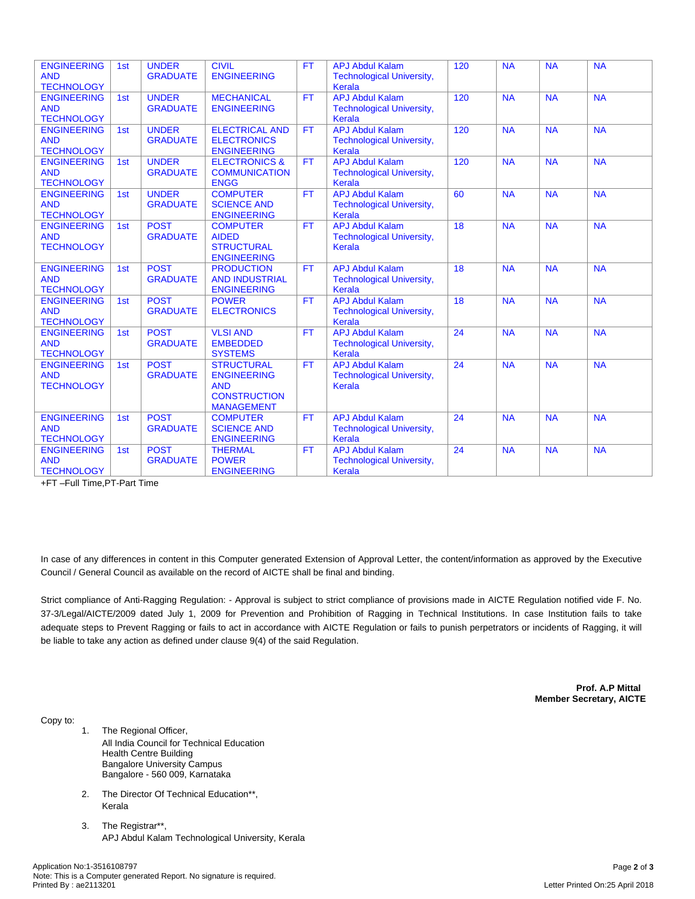| <b>ENGINEERING</b><br><b>AND</b><br><b>TECHNOLOGY</b> | 1st | <b>UNDER</b><br><b>GRADUATE</b> | <b>CIVIL</b><br><b>ENGINEERING</b>                                                                | <b>FT</b> | <b>APJ Abdul Kalam</b><br><b>Technological University,</b><br>Kerala | 120 | <b>NA</b> | <b>NA</b> | <b>NA</b> |
|-------------------------------------------------------|-----|---------------------------------|---------------------------------------------------------------------------------------------------|-----------|----------------------------------------------------------------------|-----|-----------|-----------|-----------|
| <b>ENGINEERING</b><br><b>AND</b><br><b>TECHNOLOGY</b> | 1st | <b>UNDER</b><br><b>GRADUATE</b> | <b>MECHANICAL</b><br><b>ENGINEERING</b>                                                           | <b>FT</b> | <b>APJ Abdul Kalam</b><br><b>Technological University,</b><br>Kerala | 120 | <b>NA</b> | <b>NA</b> | <b>NA</b> |
| <b>ENGINEERING</b><br><b>AND</b><br><b>TECHNOLOGY</b> | 1st | <b>UNDER</b><br><b>GRADUATE</b> | <b>ELECTRICAL AND</b><br><b>ELECTRONICS</b><br><b>ENGINEERING</b>                                 | <b>FT</b> | <b>APJ Abdul Kalam</b><br><b>Technological University,</b><br>Kerala | 120 | <b>NA</b> | <b>NA</b> | <b>NA</b> |
| <b>ENGINEERING</b><br><b>AND</b><br><b>TECHNOLOGY</b> | 1st | <b>UNDER</b><br><b>GRADUATE</b> | <b>ELECTRONICS &amp;</b><br><b>COMMUNICATION</b><br><b>ENGG</b>                                   | FT.       | <b>APJ Abdul Kalam</b><br><b>Technological University,</b><br>Kerala | 120 | <b>NA</b> | <b>NA</b> | <b>NA</b> |
| <b>ENGINEERING</b><br><b>AND</b><br><b>TECHNOLOGY</b> | 1st | <b>UNDER</b><br><b>GRADUATE</b> | <b>COMPUTER</b><br><b>SCIENCE AND</b><br><b>ENGINEERING</b>                                       | <b>FT</b> | <b>APJ Abdul Kalam</b><br><b>Technological University,</b><br>Kerala | 60  | <b>NA</b> | NA        | <b>NA</b> |
| <b>ENGINEERING</b><br><b>AND</b><br><b>TECHNOLOGY</b> | 1st | <b>POST</b><br><b>GRADUATE</b>  | <b>COMPUTER</b><br><b>AIDED</b><br><b>STRUCTURAL</b><br><b>ENGINEERING</b>                        | <b>FT</b> | <b>APJ Abdul Kalam</b><br><b>Technological University,</b><br>Kerala | 18  | <b>NA</b> | <b>NA</b> | <b>NA</b> |
| <b>ENGINEERING</b><br><b>AND</b><br><b>TECHNOLOGY</b> | 1st | <b>POST</b><br><b>GRADUATE</b>  | <b>PRODUCTION</b><br><b>AND INDUSTRIAL</b><br><b>ENGINEERING</b>                                  | <b>FT</b> | <b>APJ Abdul Kalam</b><br><b>Technological University,</b><br>Kerala | 18  | <b>NA</b> | <b>NA</b> | <b>NA</b> |
| <b>ENGINEERING</b><br><b>AND</b><br><b>TECHNOLOGY</b> | 1st | <b>POST</b><br><b>GRADUATE</b>  | <b>POWER</b><br><b>ELECTRONICS</b>                                                                | <b>FT</b> | <b>APJ Abdul Kalam</b><br><b>Technological University,</b><br>Kerala | 18  | <b>NA</b> | <b>NA</b> | <b>NA</b> |
| <b>ENGINEERING</b><br><b>AND</b><br><b>TECHNOLOGY</b> | 1st | <b>POST</b><br><b>GRADUATE</b>  | <b>VLSI AND</b><br><b>EMBEDDED</b><br><b>SYSTEMS</b>                                              | <b>FT</b> | <b>APJ Abdul Kalam</b><br><b>Technological University,</b><br>Kerala | 24  | <b>NA</b> | <b>NA</b> | <b>NA</b> |
| <b>ENGINEERING</b><br><b>AND</b><br><b>TECHNOLOGY</b> | 1st | <b>POST</b><br><b>GRADUATE</b>  | <b>STRUCTURAL</b><br><b>ENGINEERING</b><br><b>AND</b><br><b>CONSTRUCTION</b><br><b>MANAGEMENT</b> | FT.       | <b>APJ Abdul Kalam</b><br><b>Technological University,</b><br>Kerala | 24  | <b>NA</b> | <b>NA</b> | <b>NA</b> |
| <b>ENGINEERING</b><br><b>AND</b><br><b>TECHNOLOGY</b> | 1st | <b>POST</b><br><b>GRADUATE</b>  | <b>COMPUTER</b><br><b>SCIENCE AND</b><br><b>ENGINEERING</b>                                       | <b>FT</b> | <b>APJ Abdul Kalam</b><br><b>Technological University,</b><br>Kerala | 24  | <b>NA</b> | <b>NA</b> | <b>NA</b> |
| <b>ENGINEERING</b><br><b>AND</b><br><b>TECHNOLOGY</b> | 1st | <b>POST</b><br><b>GRADUATE</b>  | <b>THERMAL</b><br><b>POWER</b><br><b>ENGINEERING</b>                                              | <b>FT</b> | <b>APJ Abdul Kalam</b><br><b>Technological University,</b><br>Kerala | 24  | <b>NA</b> | <b>NA</b> | <b>NA</b> |

+FT –Full Time,PT-Part Time

In case of any differences in content in this Computer generated Extension of Approval Letter, the content/information as approved by the Executive Council / General Council as available on the record of AICTE shall be final and binding.

Strict compliance of Anti-Ragging Regulation: - Approval is subject to strict compliance of provisions made in AICTE Regulation notified vide F. No. 37-3/Legal/AICTE/2009 dated July 1, 2009 for Prevention and Prohibition of Ragging in Technical Institutions. In case Institution fails to take adequate steps to Prevent Ragging or fails to act in accordance with AICTE Regulation or fails to punish perpetrators or incidents of Ragging, it will be liable to take any action as defined under clause 9(4) of the said Regulation.

> **Prof. A.P Mittal Member Secretary, AICTE**

Copy to:

- 1. The Regional Officer, All India Council for Technical Education Health Centre Building Bangalore University Campus Bangalore - 560 009, Karnataka
- 2. The Director Of Technical Education\*\*, Kerala
- 3. The Registrar\*\*, APJ Abdul Kalam Technological University, Kerala